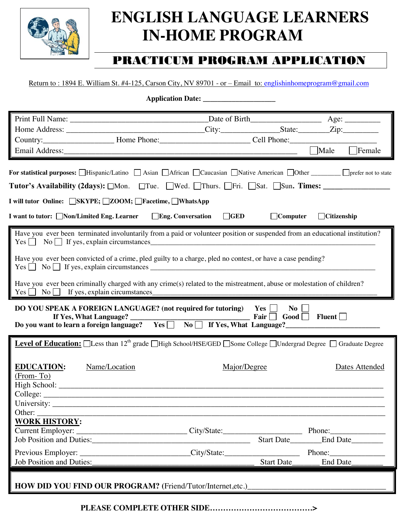

## **ENGLISH LANGUAGE LEARNERS IN-HOME PROGRAM**

## PRACTICUM PROGRAM APPLICATION

Return to : 1894 E. William St. #4-125, Carson City, NV 89701 - or – Email to: [englishinhomeprogram@gmail.com](mailto:englishinhomeprogram@gmail.com)

**Application Date: \_\_\_\_\_\_\_\_\_\_\_\_\_\_\_\_\_\_\_\_**

|                                                                                                                                                                                                                             |                                                           | $\Box$ Male<br>$\Box$ Female                                                                                                                                                                                                   |  |  |
|-----------------------------------------------------------------------------------------------------------------------------------------------------------------------------------------------------------------------------|-----------------------------------------------------------|--------------------------------------------------------------------------------------------------------------------------------------------------------------------------------------------------------------------------------|--|--|
|                                                                                                                                                                                                                             |                                                           |                                                                                                                                                                                                                                |  |  |
| For statistical purposes: □Hispanic/Latino □ Asian □African □ Caucasian □ Native American □ Other _______ □ prefer not to state                                                                                             |                                                           |                                                                                                                                                                                                                                |  |  |
| Tutor's Availability (2days): □Mon. □Tue. □Wed. □Thurs. □Fri. □Sat. □Sun. Times: __________________                                                                                                                         |                                                           |                                                                                                                                                                                                                                |  |  |
|                                                                                                                                                                                                                             |                                                           |                                                                                                                                                                                                                                |  |  |
| I will tutor Online: □SKYPE; □ZOOM; □Facetime, □WhatsApp                                                                                                                                                                    |                                                           |                                                                                                                                                                                                                                |  |  |
|                                                                                                                                                                                                                             | $\Box$ GED<br><b>Eng. Conversation</b><br>$\Box$ Computer | $\Box$ Citizenship                                                                                                                                                                                                             |  |  |
| Have you ever been terminated involuntarily from a paid or volunteer position or suspended from an educational institution?<br>$Yes \fbox{0}$ No $\fbox{0}$ If yes, explain circumstances                                   |                                                           |                                                                                                                                                                                                                                |  |  |
| Have you ever been convicted of a crime, pled guilty to a charge, pled no contest, or have a case pending?<br>$Yes \frown \text{No} \frown \text{If yes, explain circumstances}$                                            |                                                           |                                                                                                                                                                                                                                |  |  |
| Have you ever been criminally charged with any crime(s) related to the mistreatment, abuse or molestation of children?                                                                                                      |                                                           |                                                                                                                                                                                                                                |  |  |
| DO YOU SPEAK A FOREIGN LANGUAGE? (not required for tutoring)<br>Yes $\Box$<br>$\bf{No}$<br>Fair $\Box$<br>If Yes, What Language?<br>Good Fluent<br>Do you want to learn a foreign language? Yes No T If Yes, What Language? |                                                           |                                                                                                                                                                                                                                |  |  |
| <b>Level of Education:</b> □Less than 12 <sup>th</sup> grade □High School/HSE/GED □Some College □Undergrad Degree □ Graduate Degree                                                                                         |                                                           |                                                                                                                                                                                                                                |  |  |
| <b>EDUCATION:</b><br>Name/Location<br>$(From - To)$                                                                                                                                                                         | Major/Degree                                              | Dates Attended                                                                                                                                                                                                                 |  |  |
|                                                                                                                                                                                                                             |                                                           |                                                                                                                                                                                                                                |  |  |
| Other: $\overline{\phantom{a}}$                                                                                                                                                                                             |                                                           |                                                                                                                                                                                                                                |  |  |
| <b>WORK HISTORY:</b>                                                                                                                                                                                                        |                                                           |                                                                                                                                                                                                                                |  |  |
| Current Employer: _________________________________City/State:___________________                                                                                                                                           |                                                           |                                                                                                                                                                                                                                |  |  |
|                                                                                                                                                                                                                             | <b>Start Date</b>                                         | End Date                                                                                                                                                                                                                       |  |  |
| Previous Employer: _______________________________City/State:___________________                                                                                                                                            |                                                           | Phone: New York Changes and School School School School School School School School School School School School School School School School School School School School School School School School School School School Schoo |  |  |
| <b>Job Position and Duties:</b>                                                                                                                                                                                             |                                                           | Start Date End Date                                                                                                                                                                                                            |  |  |
|                                                                                                                                                                                                                             |                                                           |                                                                                                                                                                                                                                |  |  |
| HOW DID YOU FIND OUR PROGRAM? (Friend/Tutor/Internet,etc.)                                                                                                                                                                  |                                                           |                                                                                                                                                                                                                                |  |  |

**PLEASE COMPLETE OTHER SIDE…………………………………>**